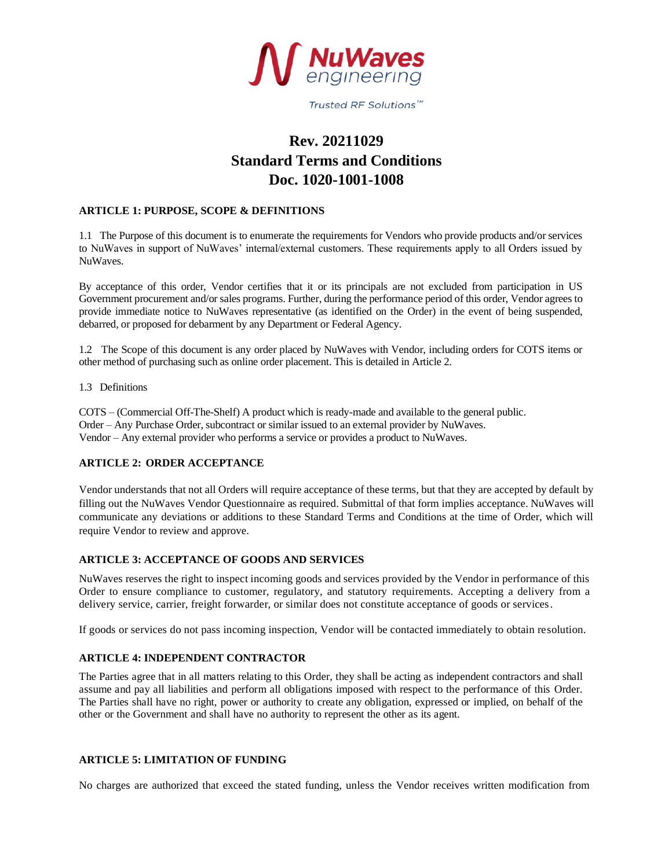

Trusted RF Solutions™

# **Rev. 20211029 Standard Terms and Conditions Doc. 1020-1001-1008**

# **ARTICLE 1: PURPOSE, SCOPE & DEFINITIONS**

1.1 The Purpose of this document is to enumerate the requirements for Vendors who provide products and/or services to NuWaves in support of NuWaves' internal/external customers. These requirements apply to all Orders issued by NuWaves.

By acceptance of this order, Vendor certifies that it or its principals are not excluded from participation in US Government procurement and/or sales programs. Further, during the performance period of this order, Vendor agrees to provide immediate notice to NuWaves representative (as identified on the Order) in the event of being suspended, debarred, or proposed for debarment by any Department or Federal Agency.

1.2 The Scope of this document is any order placed by NuWaves with Vendor, including orders for COTS items or other method of purchasing such as online order placement. This is detailed in Article 2.

1.3 Definitions

COTS – (Commercial Off-The-Shelf) A product which is ready-made and available to the general public. Order – Any Purchase Order, subcontract or similar issued to an external provider by NuWaves. Vendor – Any external provider who performs a service or provides a product to NuWaves.

# **ARTICLE 2: ORDER ACCEPTANCE**

Vendor understands that not all Orders will require acceptance of these terms, but that they are accepted by default by filling out the NuWaves Vendor Questionnaire as required. Submittal of that form implies acceptance. NuWaves will communicate any deviations or additions to these Standard Terms and Conditions at the time of Order, which will require Vendor to review and approve.

# **ARTICLE 3: ACCEPTANCE OF GOODS AND SERVICES**

NuWaves reserves the right to inspect incoming goods and services provided by the Vendor in performance of this Order to ensure compliance to customer, regulatory, and statutory requirements. Accepting a delivery from a delivery service, carrier, freight forwarder, or similar does not constitute acceptance of goods or services.

If goods or services do not pass incoming inspection, Vendor will be contacted immediately to obtain resolution.

# **ARTICLE 4: INDEPENDENT CONTRACTOR**

The Parties agree that in all matters relating to this Order, they shall be acting as independent contractors and shall assume and pay all liabilities and perform all obligations imposed with respect to the performance of this Order. The Parties shall have no right, power or authority to create any obligation, expressed or implied, on behalf of the other or the Government and shall have no authority to represent the other as its agent.

# **ARTICLE 5: LIMITATION OF FUNDING**

No charges are authorized that exceed the stated funding, unless the Vendor receives written modification from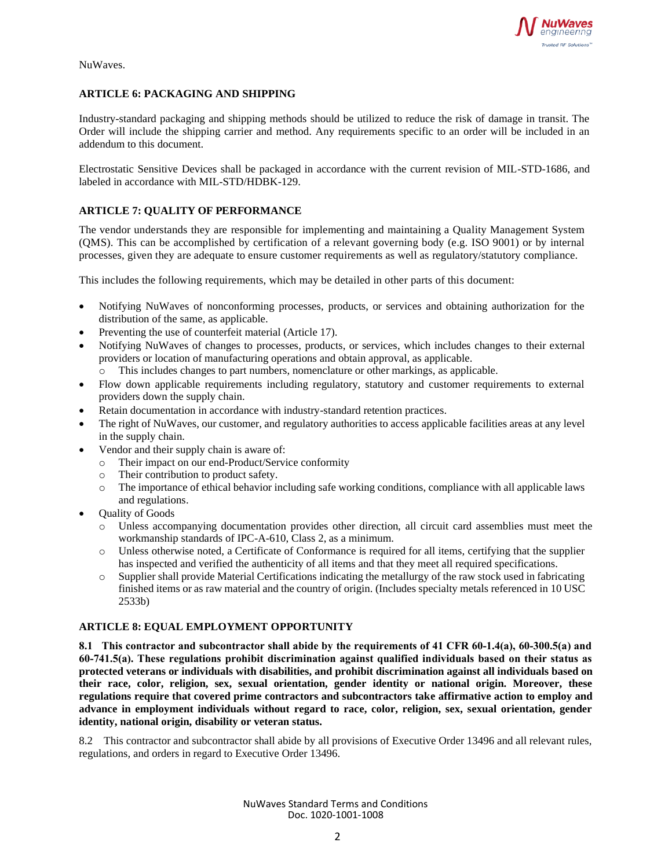

NuWaves.

# **ARTICLE 6: PACKAGING AND SHIPPING**

Industry-standard packaging and shipping methods should be utilized to reduce the risk of damage in transit. The Order will include the shipping carrier and method. Any requirements specific to an order will be included in an addendum to this document.

Electrostatic Sensitive Devices shall be packaged in accordance with the current revision of MIL-STD-1686, and labeled in accordance with MIL-STD/HDBK-129.

# **ARTICLE 7: QUALITY OF PERFORMANCE**

The vendor understands they are responsible for implementing and maintaining a Quality Management System (QMS). This can be accomplished by certification of a relevant governing body (e.g. ISO 9001) or by internal processes, given they are adequate to ensure customer requirements as well as regulatory/statutory compliance.

This includes the following requirements, which may be detailed in other parts of this document:

- Notifying NuWaves of nonconforming processes, products, or services and obtaining authorization for the distribution of the same, as applicable.
- Preventing the use of counterfeit material (Article 17).
- Notifying NuWaves of changes to processes, products, or services, which includes changes to their external providers or location of manufacturing operations and obtain approval, as applicable.
	- o This includes changes to part numbers, nomenclature or other markings, as applicable.
- Flow down applicable requirements including regulatory, statutory and customer requirements to external providers down the supply chain.
- Retain documentation in accordance with industry-standard retention practices.
- The right of NuWaves, our customer, and regulatory authorities to access applicable facilities areas at any level in the supply chain.
- Vendor and their supply chain is aware of:
	- o Their impact on our end-Product/Service conformity
	- o Their contribution to product safety.
	- o The importance of ethical behavior including safe working conditions, compliance with all applicable laws and regulations.
- Quality of Goods
	- o Unless accompanying documentation provides other direction, all circuit card assemblies must meet the workmanship standards of IPC-A-610, Class 2, as a minimum.
	- o Unless otherwise noted, a Certificate of Conformance is required for all items, certifying that the supplier has inspected and verified the authenticity of all items and that they meet all required specifications.
	- o Supplier shall provide Material Certifications indicating the metallurgy of the raw stock used in fabricating finished items or as raw material and the country of origin. (Includes specialty metals referenced in 10 USC 2533b)

# **ARTICLE 8: EQUAL EMPLOYMENT OPPORTUNITY**

**8.1 This contractor and subcontractor shall abide by the requirements of 41 CFR 60‐1.4(a), 60‐300.5(a) and 60‐741.5(a). These regulations prohibit discrimination against qualified individuals based on their status as protected veterans or individuals with disabilities, and prohibit discrimination against all individuals based on their race, color, religion, sex, sexual orientation, gender identity or national origin. Moreover, these regulations require that covered prime contractors and subcontractors take affirmative action to employ and advance in employment individuals without regard to race, color, religion, sex, sexual orientation, gender identity, national origin, disability or veteran status.**

8.2 This contractor and subcontractor shall abide by all provisions of Executive Order 13496 and all relevant rules, regulations, and orders in regard to Executive Order 13496.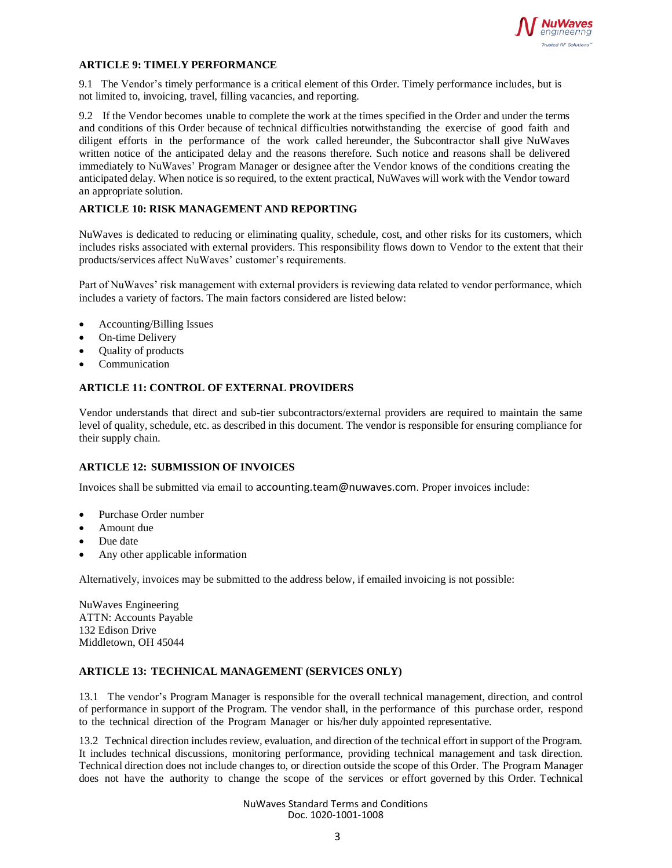

## **ARTICLE 9: TIMELY PERFORMANCE**

9.1 The Vendor's timely performance is a critical element of this Order. Timely performance includes, but is not limited to, invoicing, travel, filling vacancies, and reporting.

9.2 If the Vendor becomes unable to complete the work at the times specified in the Order and under the terms and conditions of this Order because of technical difficulties notwithstanding the exercise of good faith and diligent efforts in the performance of the work called hereunder, the Subcontractor shall give NuWaves written notice of the anticipated delay and the reasons therefore. Such notice and reasons shall be delivered immediately to NuWaves' Program Manager or designee after the Vendor knows of the conditions creating the anticipated delay. When notice is so required, to the extent practical, NuWaves will work with the Vendor toward an appropriate solution.

# **ARTICLE 10: RISK MANAGEMENT AND REPORTING**

NuWaves is dedicated to reducing or eliminating quality, schedule, cost, and other risks for its customers, which includes risks associated with external providers. This responsibility flows down to Vendor to the extent that their products/services affect NuWaves' customer's requirements.

Part of NuWaves' risk management with external providers is reviewing data related to vendor performance, which includes a variety of factors. The main factors considered are listed below:

- Accounting/Billing Issues
- On-time Delivery
- Quality of products
- **Communication**

#### **ARTICLE 11: CONTROL OF EXTERNAL PROVIDERS**

Vendor understands that direct and sub-tier subcontractors/external providers are required to maintain the same level of quality, schedule, etc. as described in this document. The vendor is responsible for ensuring compliance for their supply chain.

# **ARTICLE 12: SUBMISSION OF INVOICES**

Invoices shall be submitted via email to accounting.team@nuwaves.com. Proper invoices include:

- Purchase Order number
- Amount due
- Due date
- Any other applicable information

Alternatively, invoices may be submitted to the address below, if emailed invoicing is not possible:

NuWaves Engineering ATTN: Accounts Payable 132 Edison Drive Middletown, OH 45044

#### **ARTICLE 13: TECHNICAL MANAGEMENT (SERVICES ONLY)**

13.1 The vendor's Program Manager is responsible for the overall technical management, direction, and control of performance in support of the Program. The vendor shall, in the performance of this purchase order, respond to the technical direction of the Program Manager or his/her duly appointed representative.

13.2 Technical direction includes review, evaluation, and direction of the technical effortin support of the Program. It includes technical discussions, monitoring performance, providing technical management and task direction. Technical direction does not include changes to, or direction outside the scope of this Order. The Program Manager does not have the authority to change the scope of the services or effort governed by this Order. Technical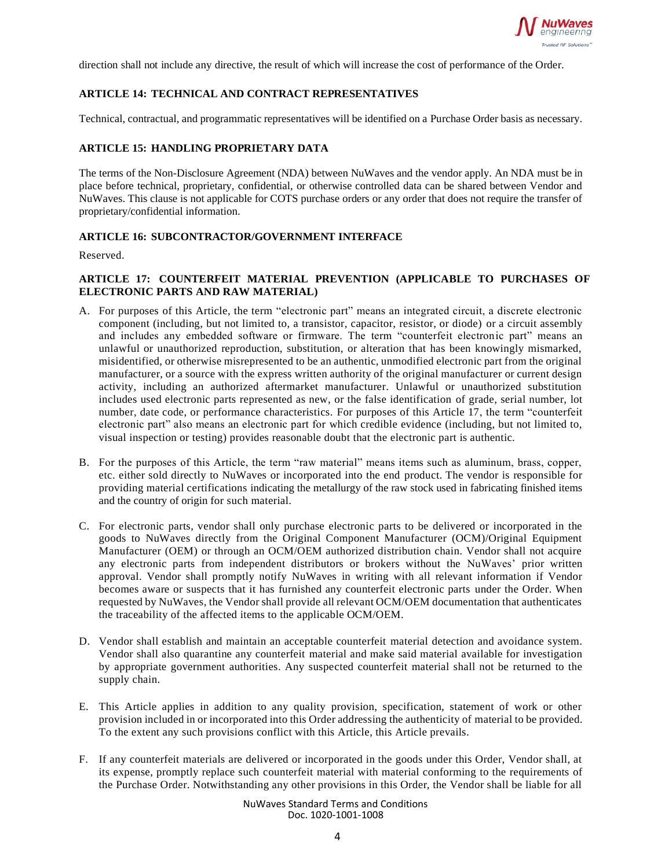

direction shall not include any directive, the result of which will increase the cost of performance of the Order.

# **ARTICLE 14: TECHNICAL AND CONTRACT REPRESENTATIVES**

Technical, contractual, and programmatic representatives will be identified on a Purchase Order basis as necessary.

#### **ARTICLE 15: HANDLING PROPRIETARY DATA**

The terms of the Non-Disclosure Agreement (NDA) between NuWaves and the vendor apply. An NDA must be in place before technical, proprietary, confidential, or otherwise controlled data can be shared between Vendor and NuWaves. This clause is not applicable for COTS purchase orders or any order that does not require the transfer of proprietary/confidential information.

#### **ARTICLE 16: SUBCONTRACTOR/GOVERNMENT INTERFACE**

Reserved.

## **ARTICLE 17: COUNTERFEIT MATERIAL PREVENTION (APPLICABLE TO PURCHASES OF ELECTRONIC PARTS AND RAW MATERIAL)**

- A. For purposes of this Article, the term "electronic part" means an integrated circuit, a discrete electronic component (including, but not limited to, a transistor, capacitor, resistor, or diode) or a circuit assembly and includes any embedded software or firmware. The term "counterfeit electronic part" means an unlawful or unauthorized reproduction, substitution, or alteration that has been knowingly mismarked, misidentified, or otherwise misrepresented to be an authentic, unmodified electronic part from the original manufacturer, or a source with the express written authority of the original manufacturer or current design activity, including an authorized aftermarket manufacturer. Unlawful or unauthorized substitution includes used electronic parts represented as new, or the false identification of grade, serial number, lot number, date code, or performance characteristics. For purposes of this Article 17, the term "counterfeit electronic part" also means an electronic part for which credible evidence (including, but not limited to, visual inspection or testing) provides reasonable doubt that the electronic part is authentic.
- B. For the purposes of this Article, the term "raw material" means items such as aluminum, brass, copper, etc. either sold directly to NuWaves or incorporated into the end product. The vendor is responsible for providing material certifications indicating the metallurgy of the raw stock used in fabricating finished items and the country of origin for such material.
- C. For electronic parts, vendor shall only purchase electronic parts to be delivered or incorporated in the goods to NuWaves directly from the Original Component Manufacturer (OCM)/Original Equipment Manufacturer (OEM) or through an OCM/OEM authorized distribution chain. Vendor shall not acquire any electronic parts from independent distributors or brokers without the NuWaves' prior written approval. Vendor shall promptly notify NuWaves in writing with all relevant information if Vendor becomes aware or suspects that it has furnished any counterfeit electronic parts under the Order. When requested by NuWaves, the Vendor shall provide all relevant OCM/OEM documentation that authenticates the traceability of the affected items to the applicable OCM/OEM.
- D. Vendor shall establish and maintain an acceptable counterfeit material detection and avoidance system. Vendor shall also quarantine any counterfeit material and make said material available for investigation by appropriate government authorities. Any suspected counterfeit material shall not be returned to the supply chain.
- E. This Article applies in addition to any quality provision, specification, statement of work or other provision included in or incorporated into this Order addressing the authenticity of material to be provided. To the extent any such provisions conflict with this Article, this Article prevails.
- F. If any counterfeit materials are delivered or incorporated in the goods under this Order, Vendor shall, at its expense, promptly replace such counterfeit material with material conforming to the requirements of the Purchase Order. Notwithstanding any other provisions in this Order, the Vendor shall be liable for all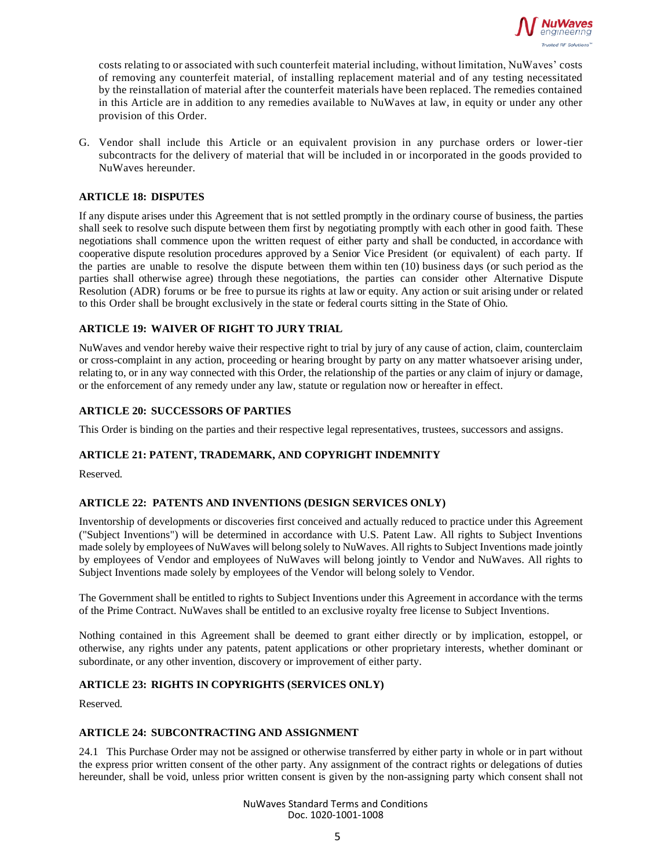

costs relating to or associated with such counterfeit material including, without limitation, NuWaves' costs of removing any counterfeit material, of installing replacement material and of any testing necessitated by the reinstallation of material after the counterfeit materials have been replaced. The remedies contained in this Article are in addition to any remedies available to NuWaves at law, in equity or under any other provision of this Order.

G. Vendor shall include this Article or an equivalent provision in any purchase orders or lower-tier subcontracts for the delivery of material that will be included in or incorporated in the goods provided to NuWaves hereunder.

#### **ARTICLE 18: DISPUTES**

If any dispute arises under this Agreement that is not settled promptly in the ordinary course of business, the parties shall seek to resolve such dispute between them first by negotiating promptly with each other in good faith. These negotiations shall commence upon the written request of either party and shall be conducted, in accordance with cooperative dispute resolution procedures approved by a Senior Vice President (or equivalent) of each party. If the parties are unable to resolve the dispute between them within ten (10) business days (or such period as the parties shall otherwise agree) through these negotiations, the parties can consider other Alternative Dispute Resolution (ADR) forums or be free to pursue its rights at law or equity. Any action or suit arising under or related to this Order shall be brought exclusively in the state or federal courts sitting in the State of Ohio.

#### **ARTICLE 19: WAIVER OF RIGHT TO JURY TRIAL**

NuWaves and vendor hereby waive their respective right to trial by jury of any cause of action, claim, counterclaim or cross-complaint in any action, proceeding or hearing brought by party on any matter whatsoever arising under, relating to, or in any way connected with this Order, the relationship of the parties or any claim of injury or damage, or the enforcement of any remedy under any law, statute or regulation now or hereafter in effect.

#### **ARTICLE 20: SUCCESSORS OF PARTIES**

This Order is binding on the parties and their respective legal representatives, trustees, successors and assigns.

# **ARTICLE 21: PATENT, TRADEMARK, AND COPYRIGHT INDEMNITY**

Reserved.

# **ARTICLE 22: PATENTS AND INVENTIONS (DESIGN SERVICES ONLY)**

Inventorship of developments or discoveries first conceived and actually reduced to practice under this Agreement ("Subject Inventions") will be determined in accordance with U.S. Patent Law. All rights to Subject Inventions made solely by employees of NuWaves will belong solely to NuWaves. All rights to Subject Inventions made jointly by employees of Vendor and employees of NuWaves will belong jointly to Vendor and NuWaves. All rights to Subject Inventions made solely by employees of the Vendor will belong solely to Vendor.

The Government shall be entitled to rights to Subject Inventions under this Agreement in accordance with the terms of the Prime Contract. NuWaves shall be entitled to an exclusive royalty free license to Subject Inventions.

Nothing contained in this Agreement shall be deemed to grant either directly or by implication, estoppel, or otherwise, any rights under any patents, patent applications or other proprietary interests, whether dominant or subordinate, or any other invention, discovery or improvement of either party.

#### **ARTICLE 23: RIGHTS IN COPYRIGHTS (SERVICES ONLY)**

Reserved.

#### **ARTICLE 24: SUBCONTRACTING AND ASSIGNMENT**

24.1 This Purchase Order may not be assigned or otherwise transferred by either party in whole or in part without the express prior written consent of the other party. Any assignment of the contract rights or delegations of duties hereunder, shall be void, unless prior written consent is given by the non-assigning party which consent shall not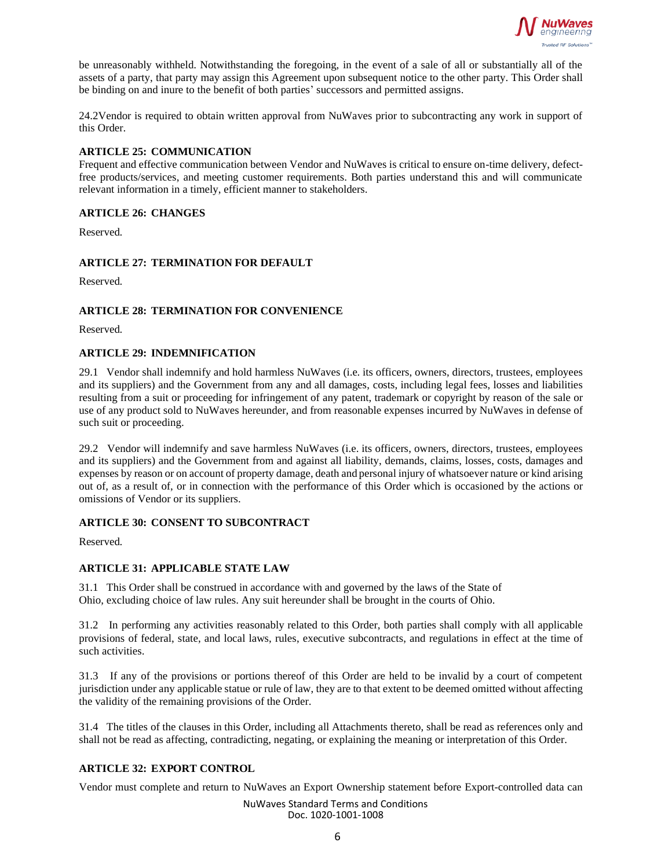

be unreasonably withheld. Notwithstanding the foregoing, in the event of a sale of all or substantially all of the assets of a party, that party may assign this Agreement upon subsequent notice to the other party. This Order shall be binding on and inure to the benefit of both parties' successors and permitted assigns.

24.2Vendor is required to obtain written approval from NuWaves prior to subcontracting any work in support of this Order.

#### **ARTICLE 25: COMMUNICATION**

Frequent and effective communication between Vendor and NuWaves is critical to ensure on-time delivery, defectfree products/services, and meeting customer requirements. Both parties understand this and will communicate relevant information in a timely, efficient manner to stakeholders.

#### **ARTICLE 26: CHANGES**

Reserved.

#### **ARTICLE 27: TERMINATION FOR DEFAULT**

Reserved.

#### **ARTICLE 28: TERMINATION FOR CONVENIENCE**

Reserved.

#### **ARTICLE 29: INDEMNIFICATION**

29.1 Vendor shall indemnify and hold harmless NuWaves (i.e. its officers, owners, directors, trustees, employees and its suppliers) and the Government from any and all damages, costs, including legal fees, losses and liabilities resulting from a suit or proceeding for infringement of any patent, trademark or copyright by reason of the sale or use of any product sold to NuWaves hereunder, and from reasonable expenses incurred by NuWaves in defense of such suit or proceeding.

29.2 Vendor will indemnify and save harmless NuWaves (i.e. its officers, owners, directors, trustees, employees and its suppliers) and the Government from and against all liability, demands, claims, losses, costs, damages and expenses by reason or on account of property damage, death and personal injury of whatsoever nature or kind arising out of, as a result of, or in connection with the performance of this Order which is occasioned by the actions or omissions of Vendor or its suppliers.

### **ARTICLE 30: CONSENT TO SUBCONTRACT**

Reserved.

#### **ARTICLE 31: APPLICABLE STATE LAW**

31.1 This Order shall be construed in accordance with and governed by the laws of the State of Ohio, excluding choice of law rules. Any suit hereunder shall be brought in the courts of Ohio.

31.2 In performing any activities reasonably related to this Order, both parties shall comply with all applicable provisions of federal, state, and local laws, rules, executive subcontracts, and regulations in effect at the time of such activities.

31.3 If any of the provisions or portions thereof of this Order are held to be invalid by a court of competent jurisdiction under any applicable statue or rule of law, they are to that extent to be deemed omitted without affecting the validity of the remaining provisions of the Order.

31.4 The titles of the clauses in this Order, including all Attachments thereto, shall be read as references only and shall not be read as affecting, contradicting, negating, or explaining the meaning or interpretation of this Order.

# **ARTICLE 32: EXPORT CONTROL**

Vendor must complete and return to NuWaves an Export Ownership statement before Export-controlled data can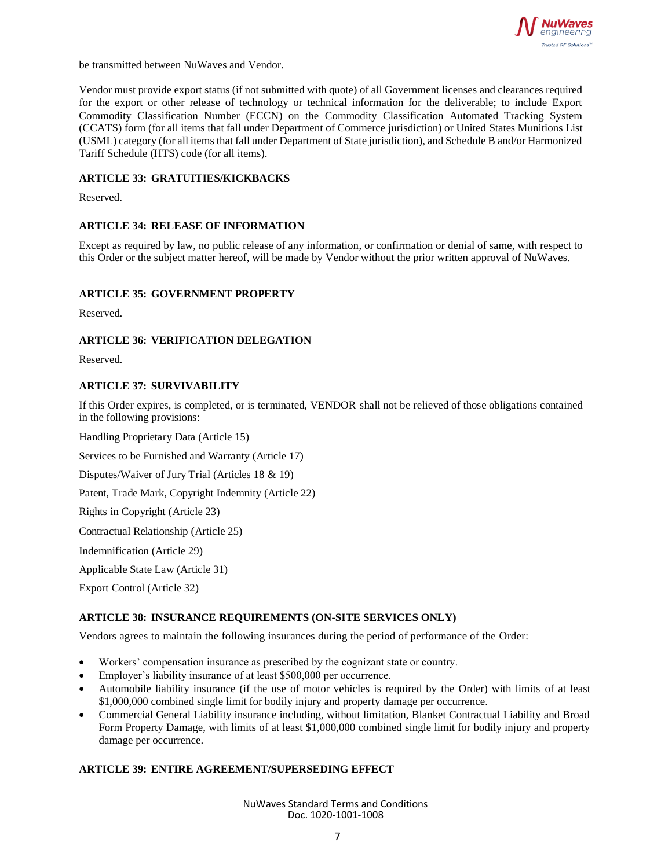

be transmitted between NuWaves and Vendor.

Vendor must provide export status (if not submitted with quote) of all Government licenses and clearances required for the export or other release of technology or technical information for the deliverable; to include Export Commodity Classification Number (ECCN) on the Commodity Classification Automated Tracking System (CCATS) form (for all items that fall under Department of Commerce jurisdiction) or United States Munitions List (USML) category (for all items that fall under Department of State jurisdiction), and Schedule B and/or Harmonized Tariff Schedule (HTS) code (for all items).

#### **ARTICLE 33: GRATUITIES/KICKBACKS**

Reserved.

#### **ARTICLE 34: RELEASE OF INFORMATION**

Except as required by law, no public release of any information, or confirmation or denial of same, with respect to this Order or the subject matter hereof, will be made by Vendor without the prior written approval of NuWaves.

#### **ARTICLE 35: GOVERNMENT PROPERTY**

Reserved.

#### **ARTICLE 36: VERIFICATION DELEGATION**

Reserved.

#### **ARTICLE 37: SURVIVABILITY**

If this Order expires, is completed, or is terminated, VENDOR shall not be relieved of those obligations contained in the following provisions:

Handling Proprietary Data (Article 15)

Services to be Furnished and Warranty (Article 17)

Disputes/Waiver of Jury Trial (Articles 18 & 19)

Patent, Trade Mark, Copyright Indemnity (Article 22)

Rights in Copyright (Article 23)

Contractual Relationship (Article 25)

Indemnification (Article 29)

Applicable State Law (Article 31)

Export Control (Article 32)

#### **ARTICLE 38: INSURANCE REQUIREMENTS (ON-SITE SERVICES ONLY)**

Vendors agrees to maintain the following insurances during the period of performance of the Order:

- Workers' compensation insurance as prescribed by the cognizant state or country.
- Employer's liability insurance of at least \$500,000 per occurrence.
- Automobile liability insurance (if the use of motor vehicles is required by the Order) with limits of at least \$1,000,000 combined single limit for bodily injury and property damage per occurrence.
- Commercial General Liability insurance including, without limitation, Blanket Contractual Liability and Broad Form Property Damage, with limits of at least \$1,000,000 combined single limit for bodily injury and property damage per occurrence.

#### **ARTICLE 39: ENTIRE AGREEMENT/SUPERSEDING EFFECT**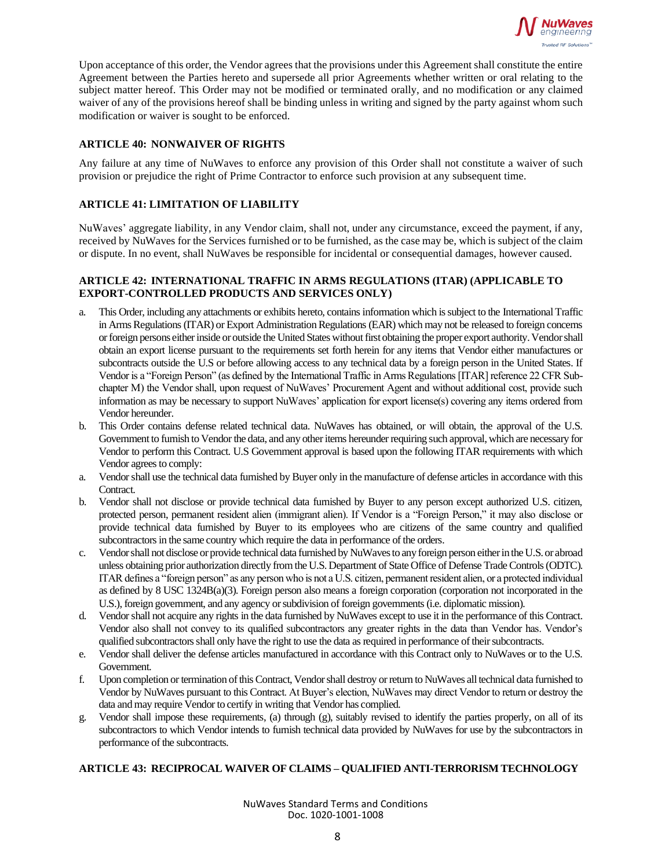

Upon acceptance of this order, the Vendor agrees that the provisions under this Agreement shall constitute the entire Agreement between the Parties hereto and supersede all prior Agreements whether written or oral relating to the subject matter hereof. This Order may not be modified or terminated orally, and no modification or any claimed waiver of any of the provisions hereof shall be binding unless in writing and signed by the party against whom such modification or waiver is sought to be enforced.

# **ARTICLE 40: NONWAIVER OF RIGHTS**

Any failure at any time of NuWaves to enforce any provision of this Order shall not constitute a waiver of such provision or prejudice the right of Prime Contractor to enforce such provision at any subsequent time.

# **ARTICLE 41: LIMITATION OF LIABILITY**

NuWaves' aggregate liability, in any Vendor claim, shall not, under any circumstance, exceed the payment, if any, received by NuWaves for the Services furnished or to be furnished, as the case may be, which is subject of the claim or dispute. In no event, shall NuWaves be responsible for incidental or consequential damages, however caused.

# **ARTICLE 42: INTERNATIONAL TRAFFIC IN ARMS REGULATIONS (ITAR) (APPLICABLE TO EXPORT-CONTROLLED PRODUCTS AND SERVICES ONLY)**

- a. This Order, including any attachments or exhibits hereto, contains information which is subject to the International Traffic in Arms Regulations (ITAR) or Export Administration Regulations (EAR) which may not be released to foreign concerns or foreign persons either inside or outside the United States without first obtaining the proper export authority. Vendor shall obtain an export license pursuant to the requirements set forth herein for any items that Vendor either manufactures or subcontracts outside the U.S or before allowing access to any technical data by a foreign person in the United States. If Vendor is a "Foreign Person" (as defined by the International Traffic in Arms Regulations [ITAR] reference 22 CFR Subchapter M) the Vendor shall, upon request of NuWaves' Procurement Agent and without additional cost, provide such information as may be necessary to support NuWaves' application for export license(s) covering any items ordered from Vendor hereunder.
- b. This Order contains defense related technical data. NuWaves has obtained, or will obtain, the approval of the U.S. Government to furnish to Vendor the data, and any other items hereunder requiring such approval, which are necessary for Vendor to perform this Contract. U.S Government approval is based upon the following ITAR requirements with which Vendor agrees to comply:
- a. Vendor shall use the technical data furnished by Buyer only in the manufacture of defense articles in accordance with this Contract.
- b. Vendor shall not disclose or provide technical data furnished by Buyer to any person except authorized U.S. citizen, protected person, permanent resident alien (immigrant alien). If Vendor is a "Foreign Person," it may also disclose or provide technical data furnished by Buyer to its employees who are citizens of the same country and qualified subcontractors in the same country which require the data in performance of the orders.
- c. Vendor shall not disclose or provide technical data furnished by NuWaves to any foreign person either in the U.S. or abroad unless obtaining prior authorization directly from the U.S. Department of State Office of Defense Trade Controls (ODTC). ITAR defines a "foreign person" as any person who is not a U.S. citizen, permanent resident alien, or a protected individual as defined by 8 USC 1324B(a)(3). Foreign person also means a foreign corporation (corporation not incorporated in the U.S.), foreign government, and any agency or subdivision of foreign governments (i.e. diplomatic mission).
- d. Vendor shall not acquire any rights in the data furnished by NuWaves except to use it in the performance of this Contract. Vendor also shall not convey to its qualified subcontractors any greater rights in the data than Vendor has. Vendor's qualified subcontractors shall only have the right to use the data as required in performance of their subcontracts.
- e. Vendor shall deliver the defense articles manufactured in accordance with this Contract only to NuWaves or to the U.S. Government.
- f. Upon completion or termination of this Contract, Vendor shall destroy or return to NuWaves all technical data furnished to Vendor by NuWaves pursuant to this Contract. At Buyer's election, NuWaves may direct Vendor to return or destroy the data and may require Vendor to certify in writing that Vendor has complied.
- g. Vendor shall impose these requirements, (a) through (g), suitably revised to identify the parties properly, on all of its subcontractors to which Vendor intends to furnish technical data provided by NuWaves for use by the subcontractors in performance of the subcontracts.

# **ARTICLE 43: RECIPROCAL WAIVER OF CLAIMS– QUALIFIED ANTI-TERRORISM TECHNOLOGY**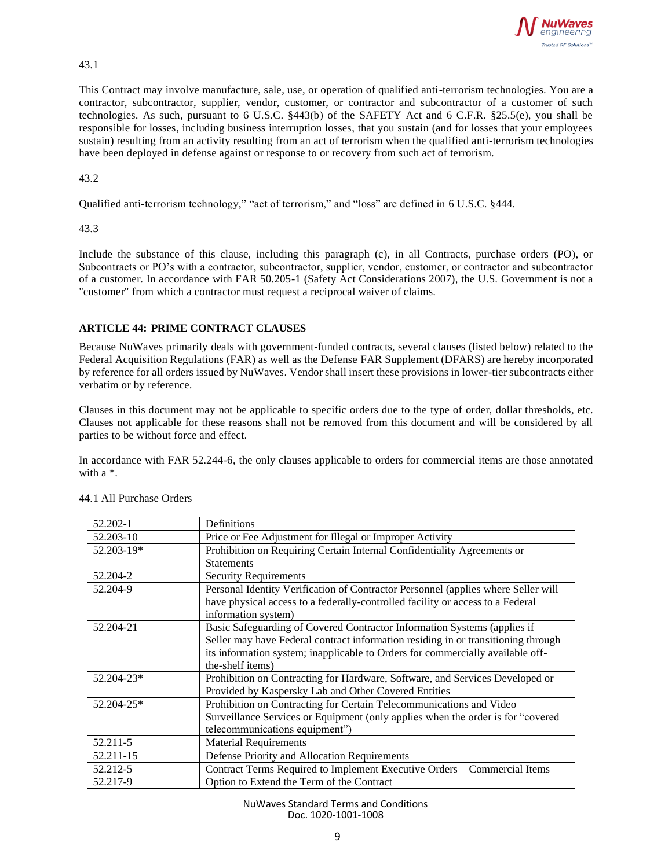

43.1

This Contract may involve manufacture, sale, use, or operation of qualified anti-terrorism technologies. You are a contractor, subcontractor, supplier, vendor, customer, or contractor and subcontractor of a customer of such technologies. As such, pursuant to 6 U.S.C. §443(b) of the SAFETY Act and 6 C.F.R. §25.5(e), you shall be responsible for losses, including business interruption losses, that you sustain (and for losses that your employees sustain) resulting from an activity resulting from an act of terrorism when the qualified anti-terrorism technologies have been deployed in defense against or response to or recovery from such act of terrorism.

43.2

Qualified anti-terrorism technology," "act of terrorism," and "loss" are defined in 6 U.S.C. §444.

#### 43.3

Include the substance of this clause, including this paragraph (c), in all Contracts, purchase orders (PO), or Subcontracts or PO's with a contractor, subcontractor, supplier, vendor, customer, or contractor and subcontractor of a customer. In accordance with FAR 50.205-1 (Safety Act Considerations 2007), the U.S. Government is not a "customer" from which a contractor must request a reciprocal waiver of claims.

# **ARTICLE 44: PRIME CONTRACT CLAUSES**

Because NuWaves primarily deals with government-funded contracts, several clauses (listed below) related to the Federal Acquisition Regulations (FAR) as well as the Defense FAR Supplement (DFARS) are hereby incorporated by reference for all orders issued by NuWaves. Vendor shall insert these provisions in lower-tier subcontracts either verbatim or by reference.

Clauses in this document may not be applicable to specific orders due to the type of order, dollar thresholds, etc. Clauses not applicable for these reasons shall not be removed from this document and will be considered by all parties to be without force and effect.

In accordance with FAR 52.244-6, the only clauses applicable to orders for commercial items are those annotated with a \*.

| 52.202-1   | <b>Definitions</b>                                                                |
|------------|-----------------------------------------------------------------------------------|
| 52.203-10  | Price or Fee Adjustment for Illegal or Improper Activity                          |
| 52.203-19* | Prohibition on Requiring Certain Internal Confidentiality Agreements or           |
|            | <b>Statements</b>                                                                 |
| 52.204-2   | <b>Security Requirements</b>                                                      |
| 52.204-9   | Personal Identity Verification of Contractor Personnel (applies where Seller will |
|            | have physical access to a federally-controlled facility or access to a Federal    |
|            | information system)                                                               |
| 52.204-21  | Basic Safeguarding of Covered Contractor Information Systems (applies if          |
|            | Seller may have Federal contract information residing in or transitioning through |
|            | its information system; inapplicable to Orders for commercially available off-    |
|            | the-shelf items)                                                                  |
| 52.204-23* | Prohibition on Contracting for Hardware, Software, and Services Developed or      |
|            | Provided by Kaspersky Lab and Other Covered Entities                              |
| 52.204-25* | Prohibition on Contracting for Certain Telecommunications and Video               |
|            | Surveillance Services or Equipment (only applies when the order is for "covered"  |
|            | telecommunications equipment")                                                    |
| 52.211-5   | <b>Material Requirements</b>                                                      |
| 52.211-15  | Defense Priority and Allocation Requirements                                      |
| 52.212-5   | Contract Terms Required to Implement Executive Orders – Commercial Items          |
| 52.217-9   | Option to Extend the Term of the Contract                                         |

44.1 All Purchase Orders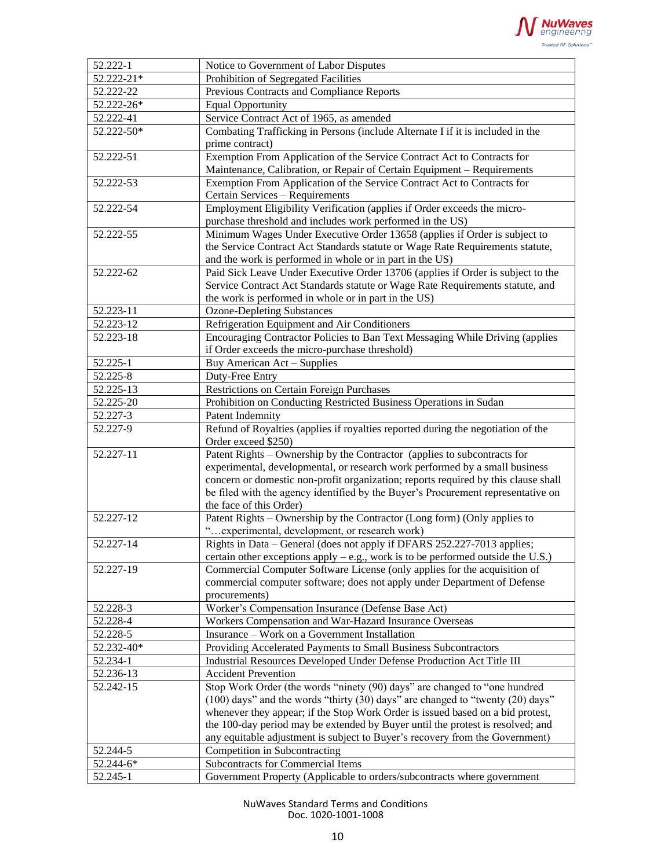

| 52.222-1      | Notice to Government of Labor Disputes                                                                                                                          |
|---------------|-----------------------------------------------------------------------------------------------------------------------------------------------------------------|
| 52.222-21*    | Prohibition of Segregated Facilities                                                                                                                            |
| 52.222-22     | Previous Contracts and Compliance Reports                                                                                                                       |
| 52.222-26*    | <b>Equal Opportunity</b>                                                                                                                                        |
| 52.222-41     | Service Contract Act of 1965, as amended                                                                                                                        |
| 52.222-50*    | Combating Trafficking in Persons (include Alternate I if it is included in the                                                                                  |
|               | prime contract)                                                                                                                                                 |
| 52.222-51     | Exemption From Application of the Service Contract Act to Contracts for                                                                                         |
|               | Maintenance, Calibration, or Repair of Certain Equipment - Requirements                                                                                         |
| 52.222-53     | Exemption From Application of the Service Contract Act to Contracts for                                                                                         |
|               | Certain Services - Requirements                                                                                                                                 |
| 52.222-54     | Employment Eligibility Verification (applies if Order exceeds the micro-                                                                                        |
|               | purchase threshold and includes work performed in the US)                                                                                                       |
| 52.222-55     | Minimum Wages Under Executive Order 13658 (applies if Order is subject to                                                                                       |
|               | the Service Contract Act Standards statute or Wage Rate Requirements statute,                                                                                   |
|               | and the work is performed in whole or in part in the US)                                                                                                        |
| 52.222-62     | Paid Sick Leave Under Executive Order 13706 (applies if Order is subject to the                                                                                 |
|               | Service Contract Act Standards statute or Wage Rate Requirements statute, and                                                                                   |
|               | the work is performed in whole or in part in the US)                                                                                                            |
| 52.223-11     | <b>Ozone-Depleting Substances</b>                                                                                                                               |
| 52.223-12     | Refrigeration Equipment and Air Conditioners                                                                                                                    |
| 52.223-18     | Encouraging Contractor Policies to Ban Text Messaging While Driving (applies                                                                                    |
|               | if Order exceeds the micro-purchase threshold)                                                                                                                  |
| 52.225-1      | Buy American Act - Supplies                                                                                                                                     |
| 52.225-8      | Duty-Free Entry                                                                                                                                                 |
| $52.225 - 13$ | Restrictions on Certain Foreign Purchases                                                                                                                       |
| $52.225 - 20$ | Prohibition on Conducting Restricted Business Operations in Sudan                                                                                               |
| 52.227-3      | Patent Indemnity                                                                                                                                                |
| $52.227 - 9$  | Refund of Royalties (applies if royalties reported during the negotiation of the<br>Order exceed \$250)                                                         |
| 52.227-11     | Patent Rights – Ownership by the Contractor (applies to subcontracts for                                                                                        |
|               | experimental, developmental, or research work performed by a small business                                                                                     |
|               | concern or domestic non-profit organization; reports required by this clause shall                                                                              |
|               | be filed with the agency identified by the Buyer's Procurement representative on                                                                                |
|               | the face of this Order)                                                                                                                                         |
| 52.227-12     | Patent Rights – Ownership by the Contractor (Long form) (Only applies to                                                                                        |
|               | " experimental, development, or research work)                                                                                                                  |
| 52.227-14     | Rights in Data - General (does not apply if DFARS 252.227-7013 applies;                                                                                         |
| 52.227-19     | certain other exceptions apply $-$ e.g., work is to be performed outside the U.S.)<br>Commercial Computer Software License (only applies for the acquisition of |
|               | commercial computer software; does not apply under Department of Defense                                                                                        |
|               | procurements)                                                                                                                                                   |
| 52.228-3      | Worker's Compensation Insurance (Defense Base Act)                                                                                                              |
| 52.228-4      | Workers Compensation and War-Hazard Insurance Overseas                                                                                                          |
| 52.228-5      | Insurance - Work on a Government Installation                                                                                                                   |
| 52.232-40*    | Providing Accelerated Payments to Small Business Subcontractors                                                                                                 |
| 52.234-1      | Industrial Resources Developed Under Defense Production Act Title III                                                                                           |
| 52.236-13     | <b>Accident Prevention</b>                                                                                                                                      |
| 52.242-15     | Stop Work Order (the words "ninety (90) days" are changed to "one hundred                                                                                       |
|               | (100) days" and the words "thirty (30) days" are changed to "twenty (20) days"                                                                                  |
|               | whenever they appear; if the Stop Work Order is issued based on a bid protest,                                                                                  |
|               | the 100-day period may be extended by Buyer until the protest is resolved; and                                                                                  |
|               | any equitable adjustment is subject to Buyer's recovery from the Government)                                                                                    |
| 52.244-5      | Competition in Subcontracting                                                                                                                                   |
| 52.244-6*     | Subcontracts for Commercial Items                                                                                                                               |
| 52.245-1      | Government Property (Applicable to orders/subcontracts where government                                                                                         |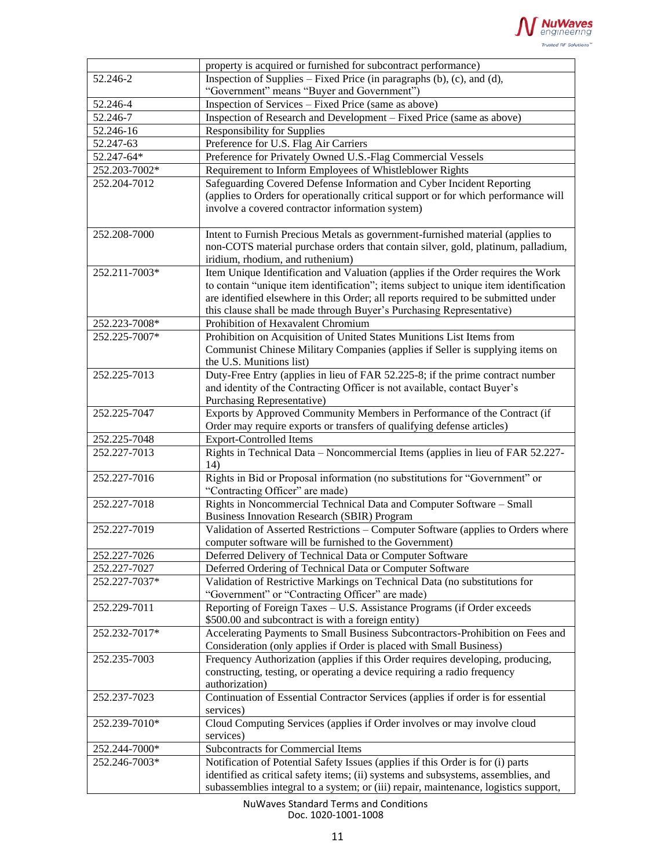

|               | property is acquired or furnished for subcontract performance)                       |
|---------------|--------------------------------------------------------------------------------------|
| 52.246-2      | Inspection of Supplies – Fixed Price (in paragraphs $(b)$ , $(c)$ , and $(d)$ ,      |
|               | "Government" means "Buyer and Government")                                           |
| 52.246-4      | Inspection of Services – Fixed Price (same as above)                                 |
| 52.246-7      | Inspection of Research and Development – Fixed Price (same as above)                 |
| 52.246-16     | <b>Responsibility for Supplies</b>                                                   |
| 52.247-63     | Preference for U.S. Flag Air Carriers                                                |
| 52.247-64*    | Preference for Privately Owned U.S.-Flag Commercial Vessels                          |
| 252.203-7002* | Requirement to Inform Employees of Whistleblower Rights                              |
| 252.204-7012  | Safeguarding Covered Defense Information and Cyber Incident Reporting                |
|               | (applies to Orders for operationally critical support or for which performance will  |
|               | involve a covered contractor information system)                                     |
|               |                                                                                      |
| 252.208-7000  | Intent to Furnish Precious Metals as government-furnished material (applies to       |
|               |                                                                                      |
|               | non-COTS material purchase orders that contain silver, gold, platinum, palladium,    |
|               | iridium, rhodium, and ruthenium)                                                     |
| 252.211-7003* | Item Unique Identification and Valuation (applies if the Order requires the Work     |
|               | to contain "unique item identification"; items subject to unique item identification |
|               | are identified elsewhere in this Order; all reports required to be submitted under   |
|               | this clause shall be made through Buyer's Purchasing Representative)                 |
| 252.223-7008* | Prohibition of Hexavalent Chromium                                                   |
| 252.225-7007* | Prohibition on Acquisition of United States Munitions List Items from                |
|               | Communist Chinese Military Companies (applies if Seller is supplying items on        |
|               | the U.S. Munitions list)                                                             |
| 252.225-7013  | Duty-Free Entry (applies in lieu of FAR 52.225-8; if the prime contract number       |
|               | and identity of the Contracting Officer is not available, contact Buyer's            |
|               | Purchasing Representative)                                                           |
| 252.225-7047  | Exports by Approved Community Members in Performance of the Contract (if             |
|               | Order may require exports or transfers of qualifying defense articles)               |
| 252.225-7048  | <b>Export-Controlled Items</b>                                                       |
| 252.227-7013  | Rights in Technical Data - Noncommercial Items (applies in lieu of FAR 52.227-       |
|               | 14)                                                                                  |
| 252.227-7016  | Rights in Bid or Proposal information (no substitutions for "Government" or          |
|               | "Contracting Officer" are made)                                                      |
| 252.227-7018  | Rights in Noncommercial Technical Data and Computer Software - Small                 |
|               | <b>Business Innovation Research (SBIR) Program</b>                                   |
| 252.227-7019  | Validation of Asserted Restrictions - Computer Software (applies to Orders where     |
|               | computer software will be furnished to the Government)                               |
| 252.227-7026  | Deferred Delivery of Technical Data or Computer Software                             |
| 252.227-7027  | Deferred Ordering of Technical Data or Computer Software                             |
| 252.227-7037* | Validation of Restrictive Markings on Technical Data (no substitutions for           |
|               |                                                                                      |
|               | "Government" or "Contracting Officer" are made)                                      |
| 252.229-7011  | Reporting of Foreign Taxes - U.S. Assistance Programs (if Order exceeds              |
|               | \$500.00 and subcontract is with a foreign entity)                                   |
| 252.232-7017* | Accelerating Payments to Small Business Subcontractors-Prohibition on Fees and       |
|               | Consideration (only applies if Order is placed with Small Business)                  |
| 252.235-7003  | Frequency Authorization (applies if this Order requires developing, producing,       |
|               | constructing, testing, or operating a device requiring a radio frequency             |
|               | authorization)                                                                       |
| 252.237-7023  | Continuation of Essential Contractor Services (applies if order is for essential     |
|               | services)                                                                            |
| 252.239-7010* | Cloud Computing Services (applies if Order involves or may involve cloud             |
|               | services)                                                                            |
| 252.244-7000* | Subcontracts for Commercial Items                                                    |
| 252.246-7003* | Notification of Potential Safety Issues (applies if this Order is for (i) parts      |
|               | identified as critical safety items; (ii) systems and subsystems, assemblies, and    |
|               | subassemblies integral to a system; or (iii) repair, maintenance, logistics support, |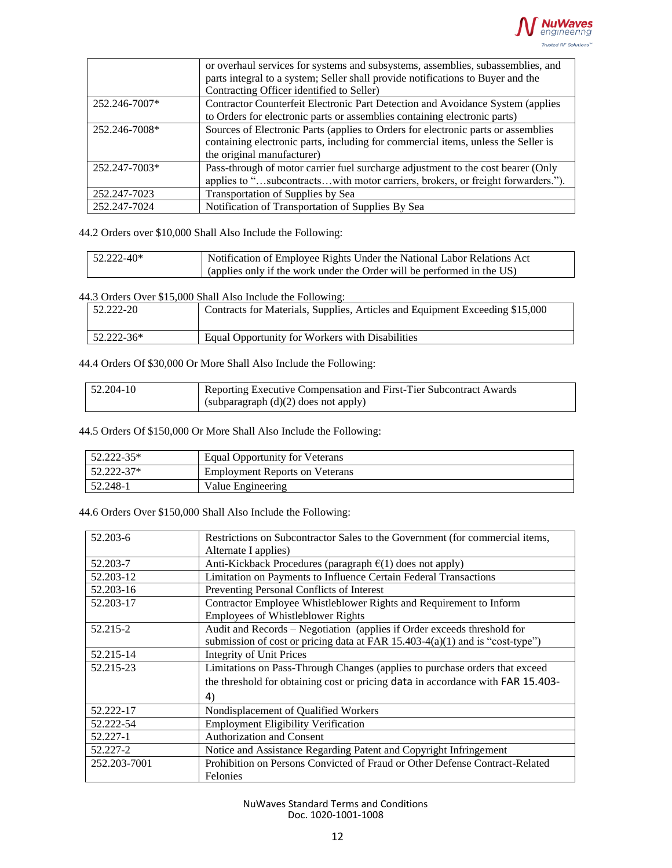

|               | or overhaul services for systems and subsystems, assemblies, subassemblies, and<br>parts integral to a system; Seller shall provide notifications to Buyer and the |
|---------------|--------------------------------------------------------------------------------------------------------------------------------------------------------------------|
|               | Contracting Officer identified to Seller)                                                                                                                          |
| 252.246-7007* | Contractor Counterfeit Electronic Part Detection and Avoidance System (applies                                                                                     |
|               | to Orders for electronic parts or assemblies containing electronic parts)                                                                                          |
| 252.246-7008* | Sources of Electronic Parts (applies to Orders for electronic parts or assemblies                                                                                  |
|               | containing electronic parts, including for commercial items, unless the Seller is                                                                                  |
|               | the original manufacturer)                                                                                                                                         |
| 252.247-7003* | Pass-through of motor carrier fuel surcharge adjustment to the cost bearer (Only                                                                                   |
|               | applies to "subcontractswith motor carriers, brokers, or freight forwarders.").                                                                                    |
| 252.247-7023  | Transportation of Supplies by Sea                                                                                                                                  |
| 252.247-7024  | Notification of Transportation of Supplies By Sea                                                                                                                  |

44.2 Orders over \$10,000 Shall Also Include the Following:

| 52.222-40* | Notification of Employee Rights Under the National Labor Relations Act |
|------------|------------------------------------------------------------------------|
|            | (applies only if the work under the Order will be performed in the US) |

44.3 Orders Over \$15,000 Shall Also Include the Following:

| 52.222-20  | Contracts for Materials, Supplies, Articles and Equipment Exceeding \$15,000 |
|------------|------------------------------------------------------------------------------|
| 52.222-36* | Equal Opportunity for Workers with Disabilities                              |

44.4 Orders Of \$30,000 Or More Shall Also Include the Following:

| $52.204 - 10$ | Reporting Executive Compensation and First-Tier Subcontract Awards |
|---------------|--------------------------------------------------------------------|
|               | (subparagraph $(d)(2)$ does not apply)                             |

44.5 Orders Of \$150,000 Or More Shall Also Include the Following:

| 52.222-35* | Equal Opportunity for Veterans        |
|------------|---------------------------------------|
| 52.222-37* | <b>Employment Reports on Veterans</b> |
| 52.248-1   | Value Engineering                     |

44.6 Orders Over \$150,000 Shall Also Include the Following:

| 52.203-6     | Restrictions on Subcontractor Sales to the Government (for commercial items,<br>Alternate I applies) |
|--------------|------------------------------------------------------------------------------------------------------|
| 52.203-7     | Anti-Kickback Procedures (paragraph $\epsilon(1)$ does not apply)                                    |
| 52.203-12    | Limitation on Payments to Influence Certain Federal Transactions                                     |
| 52.203-16    | Preventing Personal Conflicts of Interest                                                            |
| 52.203-17    | Contractor Employee Whistleblower Rights and Requirement to Inform                                   |
|              | <b>Employees of Whistleblower Rights</b>                                                             |
| 52.215-2     | Audit and Records - Negotiation (applies if Order exceeds threshold for                              |
|              | submission of cost or pricing data at FAR $15.403-4(a)(1)$ and is "cost-type")                       |
| 52.215-14    | <b>Integrity of Unit Prices</b>                                                                      |
| 52.215-23    | Limitations on Pass-Through Changes (applies to purchase orders that exceed                          |
|              | the threshold for obtaining cost or pricing data in accordance with FAR 15.403-                      |
|              | 4)                                                                                                   |
| 52.222-17    | Nondisplacement of Qualified Workers                                                                 |
| 52.222-54    | <b>Employment Eligibility Verification</b>                                                           |
| 52.227-1     | Authorization and Consent                                                                            |
| 52.227-2     | Notice and Assistance Regarding Patent and Copyright Infringement                                    |
| 252.203-7001 | Prohibition on Persons Convicted of Fraud or Other Defense Contract-Related                          |
|              | Felonies                                                                                             |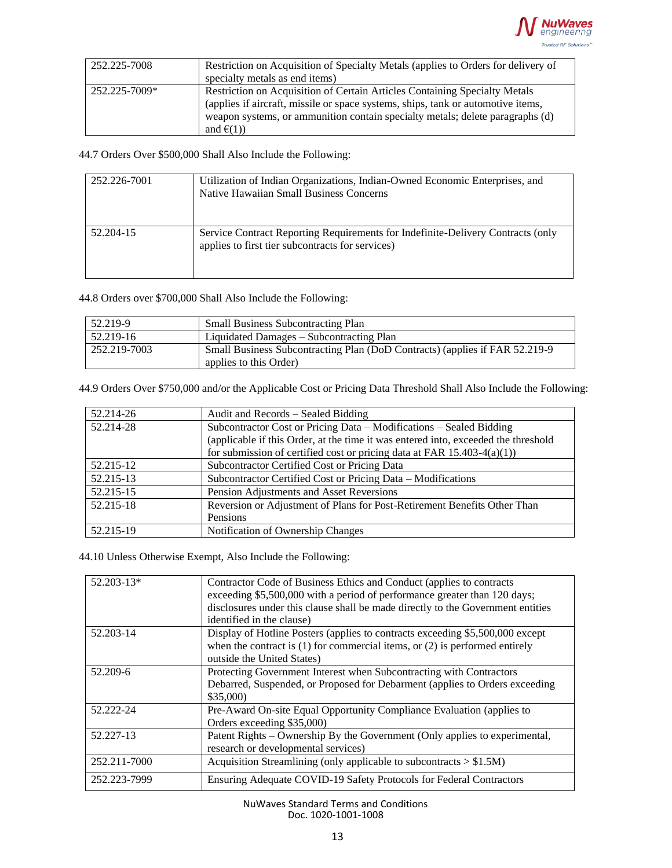

| 252.225-7008  | Restriction on Acquisition of Specialty Metals (applies to Orders for delivery of |
|---------------|-----------------------------------------------------------------------------------|
|               | specialty metals as end items)                                                    |
| 252.225-7009* | <b>Restriction on Acquisition of Certain Articles Containing Specialty Metals</b> |
|               | (applies if aircraft, missile or space systems, ships, tank or automotive items,  |
|               | weapon systems, or ammunition contain specialty metals; delete paragraphs (d)     |
|               | and $\epsilon(1)$                                                                 |

44.7 Orders Over \$500,000 Shall Also Include the Following:

| 252.226-7001 | Utilization of Indian Organizations, Indian-Owned Economic Enterprises, and<br>Native Hawaiian Small Business Concerns              |
|--------------|-------------------------------------------------------------------------------------------------------------------------------------|
| 52.204-15    | Service Contract Reporting Requirements for Indefinite-Delivery Contracts (only<br>applies to first tier subcontracts for services) |

44.8 Orders over \$700,000 Shall Also Include the Following:

| 52.219-9     | <b>Small Business Subcontracting Plan</b>                                   |
|--------------|-----------------------------------------------------------------------------|
| 52.219-16    | Liquidated Damages – Subcontracting Plan                                    |
| 252.219-7003 | Small Business Subcontracting Plan (DoD Contracts) (applies if FAR 52.219-9 |
|              | applies to this Order)                                                      |

44.9 Orders Over \$750,000 and/or the Applicable Cost or Pricing Data Threshold Shall Also Include the Following:

| 52.214-26 | Audit and Records – Sealed Bidding                                                 |
|-----------|------------------------------------------------------------------------------------|
| 52.214-28 | Subcontractor Cost or Pricing Data – Modifications – Sealed Bidding                |
|           | (applicable if this Order, at the time it was entered into, exceeded the threshold |
|           | for submission of certified cost or pricing data at FAR $15.403-4(a)(1)$           |
| 52.215-12 | Subcontractor Certified Cost or Pricing Data                                       |
| 52.215-13 | Subcontractor Certified Cost or Pricing Data - Modifications                       |
| 52.215-15 | Pension Adjustments and Asset Reversions                                           |
| 52.215-18 | Reversion or Adjustment of Plans for Post-Retirement Benefits Other Than           |
|           | Pensions                                                                           |
| 52.215-19 | Notification of Ownership Changes                                                  |

44.10 Unless Otherwise Exempt, Also Include the Following:

| $52.203 - 13*$ | Contractor Code of Business Ethics and Conduct (applies to contracts<br>exceeding \$5,500,000 with a period of performance greater than 120 days;<br>disclosures under this clause shall be made directly to the Government entities<br>identified in the clause) |
|----------------|-------------------------------------------------------------------------------------------------------------------------------------------------------------------------------------------------------------------------------------------------------------------|
| 52.203-14      | Display of Hotline Posters (applies to contracts exceeding \$5,500,000 except<br>when the contract is $(1)$ for commercial items, or $(2)$ is performed entirely<br>outside the United States)                                                                    |
| 52.209-6       | Protecting Government Interest when Subcontracting with Contractors<br>Debarred, Suspended, or Proposed for Debarment (applies to Orders exceeding<br>\$35,000                                                                                                    |
| 52.222-24      | Pre-Award On-site Equal Opportunity Compliance Evaluation (applies to<br>Orders exceeding \$35,000)                                                                                                                                                               |
| 52.227-13      | Patent Rights – Ownership By the Government (Only applies to experimental,<br>research or developmental services)                                                                                                                                                 |
| 252.211-7000   | Acquisition Streamlining (only applicable to subcontracts $> $1.5M$ )                                                                                                                                                                                             |
| 252.223-7999   | Ensuring Adequate COVID-19 Safety Protocols for Federal Contractors                                                                                                                                                                                               |